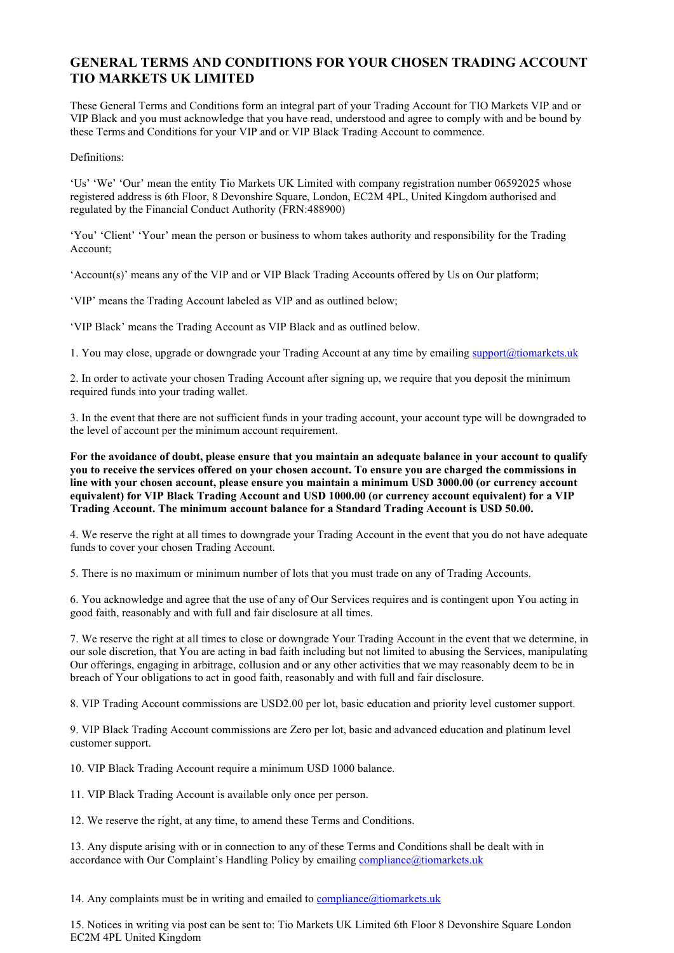## **GENERAL TERMS AND CONDITIONS FOR YOUR CHOSEN TRADING ACCOUNT TIO MARKETS UK LIMITED**

These General Terms and Conditions form an integral part of your Trading Account for TIO Markets VIP and or VIP Black and you must acknowledge that you have read, understood and agree to comply with and be bound by these Terms and Conditions for your VIP and or VIP Black Trading Account to commence.

Definitions:

'Us' 'We' 'Our' mean the entity Tio Markets UK Limited with company registration number 06592025 whose registered address is 6th Floor, 8 Devonshire Square, London, EC2M 4PL, United Kingdom authorised and regulated by the Financial Conduct Authority (FRN:488900)

'You' 'Client' 'Your' mean the person or business to whom takes authority and responsibility for the Trading Account;

'Account(s)' means any of the VIP and or VIP Black Trading Accounts offered by Us on Our platform;

'VIP' means the Trading Account labeled as VIP and as outlined below;

'VIP Black' means the Trading Account as VIP Black and as outlined below.

1. You may close, upgrade or downgrade your Trading Account at any time by emailin[g support@tiomarkets.uk](mailto:support@tiomarkets.uk)

2. In order to activate your chosen Trading Account after signing up, we require that you deposit the minimum required funds into your trading wallet.

3. In the event that there are not sufficient funds in your trading account, your account type will be downgraded to the level of account per the minimum account requirement.

**For the avoidance of doubt, please ensure that you maintain an adequate balance in your account to qualify you to receive the services offered on your chosen account. To ensure you are charged the commissions in line with your chosen account, please ensure you maintain a minimum USD 3000.00 (or currency account equivalent) for VIP Black Trading Account and USD 1000.00 (or currency account equivalent) for a VIP Trading Account. The minimum account balance for a Standard Trading Account is USD 50.00.**

4. We reserve the right at all times to downgrade your Trading Account in the event that you do not have adequate funds to cover your chosen Trading Account.

5. There is no maximum or minimum number of lots that you must trade on any of Trading Accounts.

6. You acknowledge and agree that the use of any of Our Services requires and is contingent upon You acting in good faith, reasonably and with full and fair disclosure at all times.

7. We reserve the right at all times to close or downgrade Your Trading Account in the event that we determine, in our sole discretion, that You are acting in bad faith including but not limited to abusing the Services, manipulating Our offerings, engaging in arbitrage, collusion and or any other activities that we may reasonably deem to be in breach of Your obligations to act in good faith, reasonably and with full and fair disclosure.

8. VIP Trading Account commissions are USD2.00 per lot, basic education and priority level customer support.

9. VIP Black Trading Account commissions are Zero per lot, basic and advanced education and platinum level customer support.

10. VIP Black Trading Account require a minimum USD 1000 balance.

11. VIP Black Trading Account is available only once per person.

12. We reserve the right, at any time, to amend these Terms and Conditions.

13. Any dispute arising with or in connection to any of these Terms and Conditions shall be dealt with in accordance with Our Complaint's Handling Policy by emailin[g compliance@tiomarkets.uk](mailto:compliance@tiomarkets.uk)

14. Any complaints must be in writing and emailed to compliance  $@$  tiomarkets.uk

15. Notices in writing via post can be sent to: Tio Markets UK Limited 6th Floor 8 Devonshire Square London EC2M 4PL United Kingdom